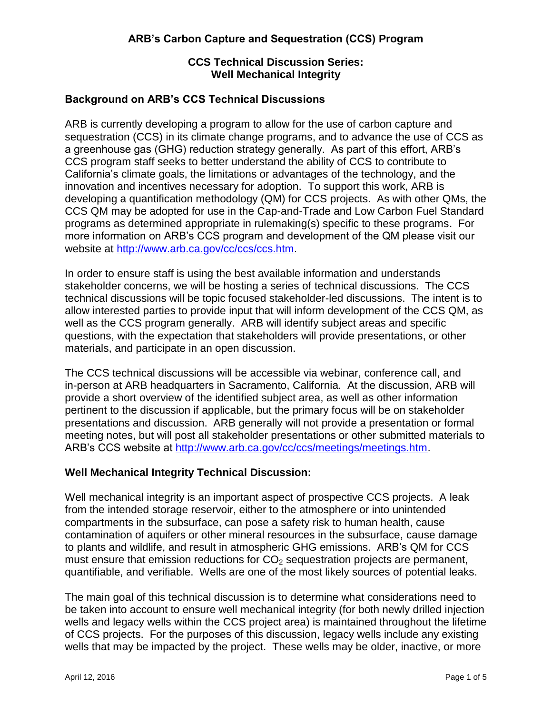## **CCS Technical Discussion Series: Well Mechanical Integrity**

## **Background on ARB's CCS Technical Discussions**

ARB is currently developing a program to allow for the use of carbon capture and sequestration (CCS) in its climate change programs, and to advance the use of CCS as a greenhouse gas (GHG) reduction strategy generally. As part of this effort, ARB's CCS program staff seeks to better understand the ability of CCS to contribute to California's climate goals, the limitations or advantages of the technology, and the innovation and incentives necessary for adoption. To support this work, ARB is developing a quantification methodology (QM) for CCS projects. As with other QMs, the CCS QM may be adopted for use in the Cap-and-Trade and Low Carbon Fuel Standard programs as determined appropriate in rulemaking(s) specific to these programs. For more information on ARB's CCS program and development of the QM please visit our website at [http://www.arb.ca.gov/cc/ccs/ccs.htm.](http://www.arb.ca.gov/cc/ccs/ccs.htm)

In order to ensure staff is using the best available information and understands stakeholder concerns, we will be hosting a series of technical discussions. The CCS technical discussions will be topic focused stakeholder-led discussions. The intent is to allow interested parties to provide input that will inform development of the CCS QM, as well as the CCS program generally. ARB will identify subject areas and specific questions, with the expectation that stakeholders will provide presentations, or other materials, and participate in an open discussion.

The CCS technical discussions will be accessible via webinar, conference call, and in-person at ARB headquarters in Sacramento, California. At the discussion, ARB will provide a short overview of the identified subject area, as well as other information pertinent to the discussion if applicable, but the primary focus will be on stakeholder presentations and discussion. ARB generally will not provide a presentation or formal meeting notes, but will post all stakeholder presentations or other submitted materials to ARB's CCS website at [http://www.arb.ca.gov/cc/ccs/meetings/meetings.htm.](http://www.arb.ca.gov/cc/ccs/meetings/meetings.htm)

# **Well Mechanical Integrity Technical Discussion:**

Well mechanical integrity is an important aspect of prospective CCS projects. A leak from the intended storage reservoir, either to the atmosphere or into unintended compartments in the subsurface, can pose a safety risk to human health, cause contamination of aquifers or other mineral resources in the subsurface, cause damage to plants and wildlife, and result in atmospheric GHG emissions. ARB's QM for CCS must ensure that emission reductions for  $CO<sub>2</sub>$  sequestration projects are permanent, quantifiable, and verifiable. Wells are one of the most likely sources of potential leaks.

The main goal of this technical discussion is to determine what considerations need to be taken into account to ensure well mechanical integrity (for both newly drilled injection wells and legacy wells within the CCS project area) is maintained throughout the lifetime of CCS projects. For the purposes of this discussion, legacy wells include any existing wells that may be impacted by the project. These wells may be older, inactive, or more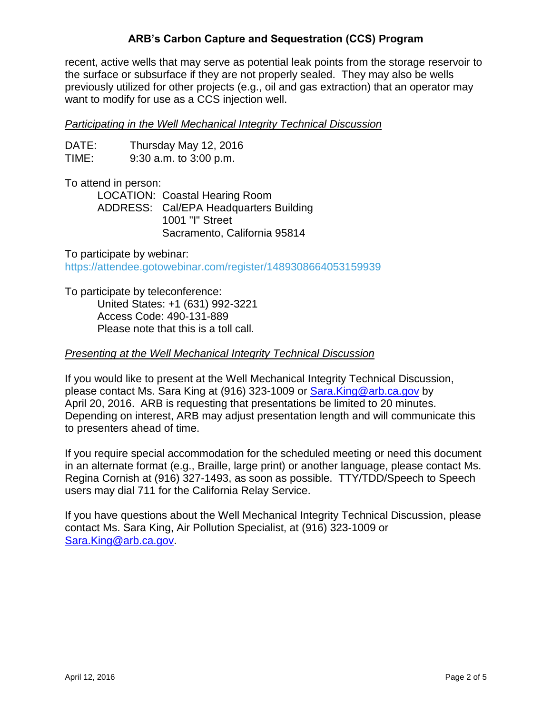## **ARB's Carbon Capture and Sequestration (CCS) Program**

recent, active wells that may serve as potential leak points from the storage reservoir to the surface or subsurface if they are not properly sealed. They may also be wells previously utilized for other projects (e.g., oil and gas extraction) that an operator may want to modify for use as a CCS injection well.

#### *Participating in the Well Mechanical Integrity Technical Discussion*

DATE: Thursday May 12, 2016 TIME: 9:30 a.m. to 3:00 p.m.

To attend in person:

LOCATION: Coastal Hearing Room ADDRESS: Cal/EPA Headquarters Building 1001 "I" Street Sacramento, California 95814

To participate by webinar: <https://attendee.gotowebinar.com/register/1489308664053159939>

To participate by teleconference: United States: +1 (631) 992-3221 Access Code: 490-131-889 Please note that this is a toll call.

#### *Presenting at the Well Mechanical Integrity Technical Discussion*

If you would like to present at the Well Mechanical Integrity Technical Discussion, please contact Ms. Sara King at (916) 323-1009 or **Sara.King@arb.ca.gov** by April 20, 2016. ARB is requesting that presentations be limited to 20 minutes. Depending on interest, ARB may adjust presentation length and will communicate this to presenters ahead of time.

If you require special accommodation for the scheduled meeting or need this document in an alternate format (e.g., Braille, large print) or another language, please contact Ms. Regina Cornish at (916) 327-1493, as soon as possible. TTY/TDD/Speech to Speech users may dial 711 for the California Relay Service.

If you have questions about the Well Mechanical Integrity Technical Discussion, please contact Ms. Sara King, Air Pollution Specialist, at (916) 323-1009 or [Sara.King@arb.ca.gov.](mailto:Sara.King@arb.ca.gov)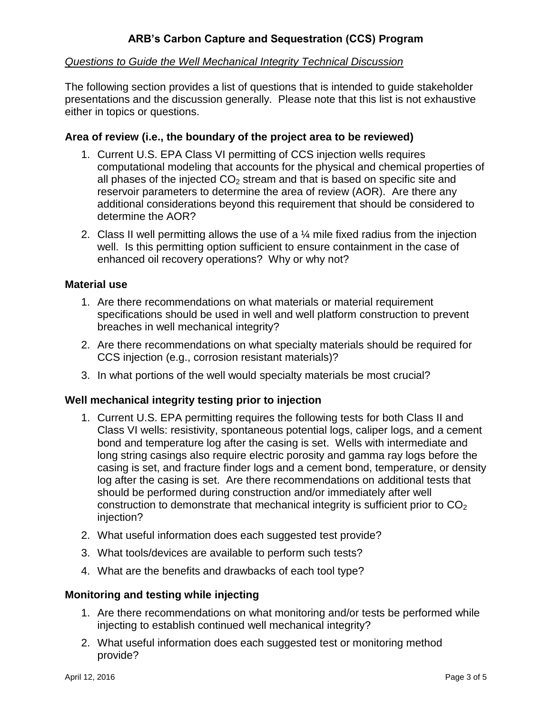## *Questions to Guide the Well Mechanical Integrity Technical Discussion*

The following section provides a list of questions that is intended to guide stakeholder presentations and the discussion generally. Please note that this list is not exhaustive either in topics or questions.

## **Area of review (i.e., the boundary of the project area to be reviewed)**

- 1. Current U.S. EPA Class VI permitting of CCS injection wells requires computational modeling that accounts for the physical and chemical properties of all phases of the injected  $CO<sub>2</sub>$  stream and that is based on specific site and reservoir parameters to determine the area of review (AOR). Are there any additional considerations beyond this requirement that should be considered to determine the AOR?
- 2. Class II well permitting allows the use of a  $\frac{1}{4}$  mile fixed radius from the injection well. Is this permitting option sufficient to ensure containment in the case of enhanced oil recovery operations? Why or why not?

### **Material use**

- 1. Are there recommendations on what materials or material requirement specifications should be used in well and well platform construction to prevent breaches in well mechanical integrity?
- 2. Are there recommendations on what specialty materials should be required for CCS injection (e.g., corrosion resistant materials)?
- 3. In what portions of the well would specialty materials be most crucial?

### **Well mechanical integrity testing prior to injection**

- 1. Current U.S. EPA permitting requires the following tests for both Class II and Class VI wells: resistivity, spontaneous potential logs, caliper logs, and a cement bond and temperature log after the casing is set. Wells with intermediate and long string casings also require electric porosity and gamma ray logs before the casing is set, and fracture finder logs and a cement bond, temperature, or density log after the casing is set. Are there recommendations on additional tests that should be performed during construction and/or immediately after well construction to demonstrate that mechanical integrity is sufficient prior to  $CO<sub>2</sub>$ injection?
- 2. What useful information does each suggested test provide?
- 3. What tools/devices are available to perform such tests?
- 4. What are the benefits and drawbacks of each tool type?

### **Monitoring and testing while injecting**

- 1. Are there recommendations on what monitoring and/or tests be performed while injecting to establish continued well mechanical integrity?
- 2. What useful information does each suggested test or monitoring method provide?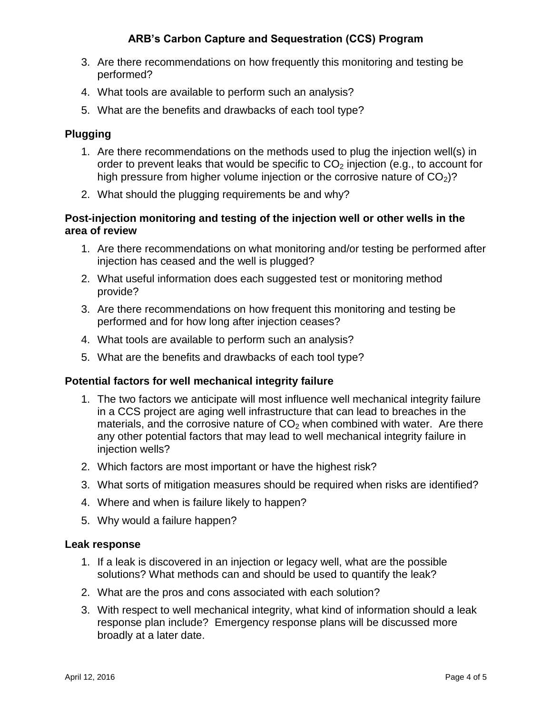# **ARB's Carbon Capture and Sequestration (CCS) Program**

- 3. Are there recommendations on how frequently this monitoring and testing be performed?
- 4. What tools are available to perform such an analysis?
- 5. What are the benefits and drawbacks of each tool type?

## **Plugging**

- 1. Are there recommendations on the methods used to plug the injection well(s) in order to prevent leaks that would be specific to  $CO<sub>2</sub>$  injection (e.g., to account for high pressure from higher volume injection or the corrosive nature of  $CO<sub>2</sub>$ ?
- 2. What should the plugging requirements be and why?

### **Post-injection monitoring and testing of the injection well or other wells in the area of review**

- 1. Are there recommendations on what monitoring and/or testing be performed after injection has ceased and the well is plugged?
- 2. What useful information does each suggested test or monitoring method provide?
- 3. Are there recommendations on how frequent this monitoring and testing be performed and for how long after injection ceases?
- 4. What tools are available to perform such an analysis?
- 5. What are the benefits and drawbacks of each tool type?

### **Potential factors for well mechanical integrity failure**

- 1. The two factors we anticipate will most influence well mechanical integrity failure in a CCS project are aging well infrastructure that can lead to breaches in the materials, and the corrosive nature of  $CO<sub>2</sub>$  when combined with water. Are there any other potential factors that may lead to well mechanical integrity failure in injection wells?
- 2. Which factors are most important or have the highest risk?
- 3. What sorts of mitigation measures should be required when risks are identified?
- 4. Where and when is failure likely to happen?
- 5. Why would a failure happen?

#### **Leak response**

- 1. If a leak is discovered in an injection or legacy well, what are the possible solutions? What methods can and should be used to quantify the leak?
- 2. What are the pros and cons associated with each solution?
- 3. With respect to well mechanical integrity, what kind of information should a leak response plan include? Emergency response plans will be discussed more broadly at a later date.